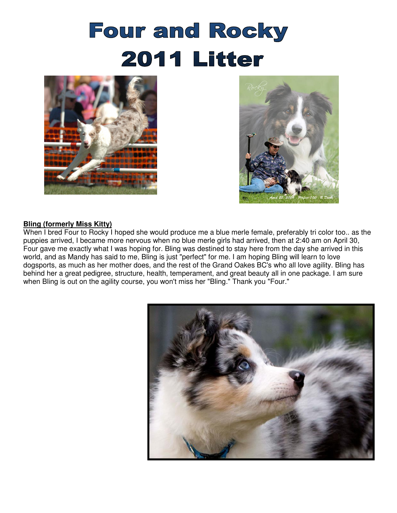# **Four and Rocky 2011 Litter**





#### **Bling (formerly Miss Kitty)**

When I bred Four to Rocky I hoped she would produce me a blue merle female, preferably tri color too.. as the puppies arrived, I became more nervous when no blue merle girls had arrived, then at 2:40 am on April 30, Four gave me exactly what I was hoping for. Bling was destined to stay here from the day she arrived in this world, and as Mandy has said to me, Bling is just "perfect" for me. I am hoping Bling will learn to love dogsports, as much as her mother does, and the rest of the Grand Oakes BC's who all love agility. Bling has behind her a great pedigree, structure, health, temperament, and great beauty all in one package. I am sure when Bling is out on the agility course, you won't miss her "Bling." Thank you "Four."

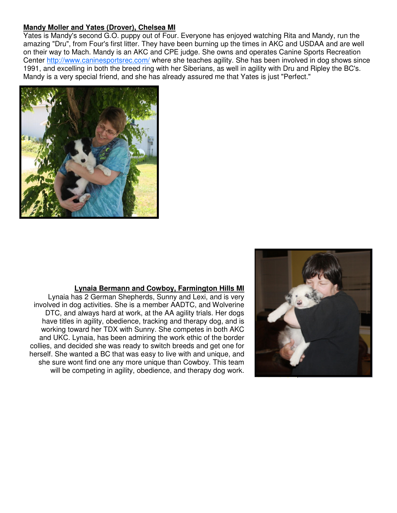#### **Mandy Moller and Yates (Drover), Chelsea MI**

Yates is Mandy's second G.O. puppy out of Four. Everyone has enjoyed watching Rita and Mandy, run the amazing "Dru", from Four's first litter. They have been burning up the times in AKC and USDAA and are well on their way to Mach. Mandy is an AKC and CPE judge. She owns and operates Canine Sports Recreation Center http://www.caninesportsrec.com/ where she teaches agility. She has been involved in dog shows since 1991, and excelling in both the breed ring with her Siberians, as well in agility with Dru and Ripley the BC's. Mandy is a very special friend, and she has already assured me that Yates is just "Perfect."



#### **Lynaia Bermann and Cowboy, Farmington Hills MI**

Lynaia has 2 German Shepherds, Sunny and Lexi, and is very involved in dog activities. She is a member AADTC, and Wolverine DTC, and always hard at work, at the AA agility trials. Her dogs have titles in agility, obedience, tracking and therapy dog, and is working toward her TDX with Sunny. She competes in both AKC and UKC. Lynaia, has been admiring the work ethic of the border collies, and decided she was ready to switch breeds and get one for herself. She wanted a BC that was easy to live with and unique, and she sure wont find one any more unique than Cowboy. This team will be competing in agility, obedience, and therapy dog work.

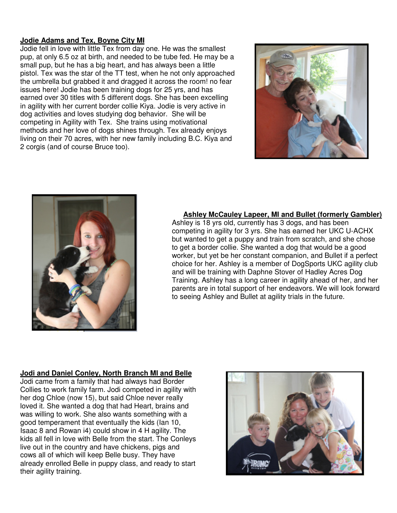### **Jodie Adams and Tex, Boyne City MI**

Jodie fell in love with little Tex from day one. He was the smallest pup, at only 6.5 oz at birth, and needed to be tube fed. He may be a small pup, but he has a big heart, and has always been a little pistol. Tex was the star of the TT test, when he not only approached the umbrella but grabbed it and dragged it across the room! no fear issues here! Jodie has been training dogs for 25 yrs, and has earned over 30 titles with 5 different dogs. She has been excelling in agility with her current border collie Kiya. Jodie is very active in dog activities and loves studying dog behavior. She will be competing in Agility with Tex. She trains using motivational methods and her love of dogs shines through. Tex already enjoys living on their 70 acres, with her new family including B.C. Kiya and 2 corgis (and of course Bruce too).





#### **Ashley McCauley Lapeer, MI and Bullet (formerly Gambler)**

Ashley is 18 yrs old, currently has 3 dogs, and has been competing in agility for 3 yrs. She has earned her UKC U-ACHX but wanted to get a puppy and train from scratch, and she chose to get a border collie. She wanted a dog that would be a good worker, but yet be her constant companion, and Bullet if a perfect choice for her. Ashley is a member of DogSports UKC agility club and will be training with Daphne Stover of Hadley Acres Dog Training. Ashley has a long career in agility ahead of her, and her parents are in total support of her endeavors. We will look forward to seeing Ashley and Bullet at agility trials in the future.

#### **Jodi and Daniel Conley, North Branch MI and Belle**

Jodi came from a family that had always had Border Collies to work family farm. Jodi competed in agility with her dog Chloe (now 15), but said Chloe never really loved it. She wanted a dog that had Heart, brains and was willing to work. She also wants something with a good temperament that eventually the kids (Ian 10, Isaac 8 and Rowan i4) could show in 4 H agility. The kids all fell in love with Belle from the start. The Conleys live out in the country and have chickens, pigs and cows all of which will keep Belle busy. They have already enrolled Belle in puppy class, and ready to start their agility training.